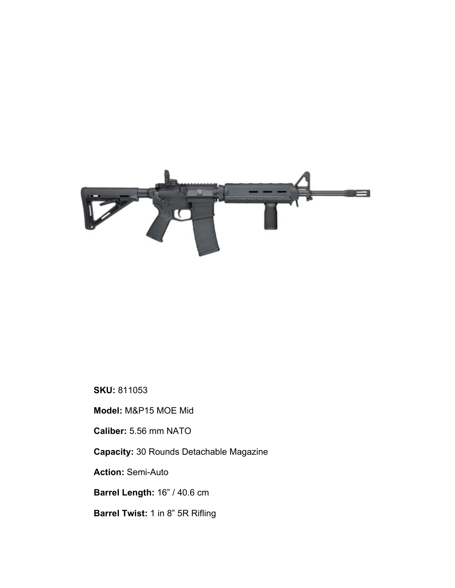

## **SKU:** 811053

**Model:** M&P15 MOE Mid

**Caliber:** 5.56 mm NATO

**Capacity:** 30 Rounds Detachable Magazine

**Action:** Semi-Auto

**Barrel Length:** 16" / 40.6 cm

**Barrel Twist:** 1 in 8" 5R Rifling